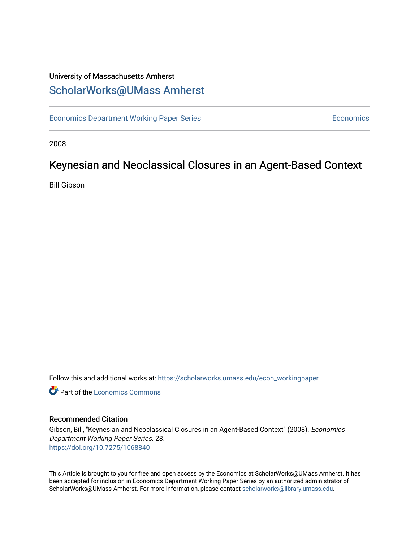### University of Massachusetts Amherst [ScholarWorks@UMass Amherst](https://scholarworks.umass.edu/)

[Economics Department Working Paper Series](https://scholarworks.umass.edu/econ_workingpaper) **Economics** Economics

2008

### Keynesian and Neoclassical Closures in an Agent-Based Context

Bill Gibson

Follow this and additional works at: [https://scholarworks.umass.edu/econ\\_workingpaper](https://scholarworks.umass.edu/econ_workingpaper?utm_source=scholarworks.umass.edu%2Fecon_workingpaper%2F28&utm_medium=PDF&utm_campaign=PDFCoverPages) 

**C** Part of the [Economics Commons](http://network.bepress.com/hgg/discipline/340?utm_source=scholarworks.umass.edu%2Fecon_workingpaper%2F28&utm_medium=PDF&utm_campaign=PDFCoverPages)

#### Recommended Citation

Gibson, Bill, "Keynesian and Neoclassical Closures in an Agent-Based Context" (2008). Economics Department Working Paper Series. 28. <https://doi.org/10.7275/1068840>

This Article is brought to you for free and open access by the Economics at ScholarWorks@UMass Amherst. It has been accepted for inclusion in Economics Department Working Paper Series by an authorized administrator of ScholarWorks@UMass Amherst. For more information, please contact [scholarworks@library.umass.edu.](mailto:scholarworks@library.umass.edu)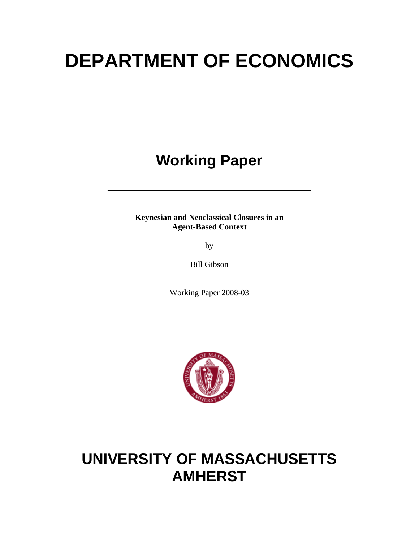# **DEPARTMENT OF ECONOMICS**

## **Working Paper**

**Keynesian and Neoclassical Closures in an Agent-Based Context** 

by

Bill Gibson

Working Paper 2008-03



## **UNIVERSITY OF MASSACHUSETTS AMHERST**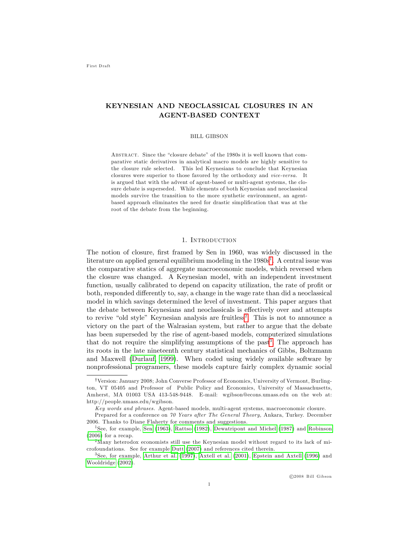#### KEYNESIAN AND NEOCLASSICAL CLOSURES IN AN AGENT-BASED CONTEXT

#### BILL GIBSON

ABSTRACT. Since the "closure debate" of the 1980s it is well known that comparative static derivatives in analytical macro models are highly sensitive to the closure rule selected. This led Keynesians to conclude that Keynesian closures were superior to those favored by the orthodoxy and vice-versa. It is argued that with the advent of agent-based or multi-agent systems, the closure debate is superseded. While elements of both Keynesian and neoclassical models survive the transition to the more synthetic environment, an agentbased approach eliminates the need for drastic simplification that was at the root of the debate from the beginning.

#### 1. Introduction

The notion of closure, first framed by Sen in 1960, was widely discussed in the literature on applied general equilibrium modeling in the  $1980s<sup>1</sup>$  $1980s<sup>1</sup>$ . A central issue was the comparative statics of aggregate macroeconomic models, which reversed when the closure was changed. A Keynesian model, with an independent investment function, usually calibrated to depend on capacity utilization, the rate of profit or both, responded differently to, say, a change in the wage rate than did a neoclassical model in which savings determined the level of investment. This paper argues that the debate between Keynesians and neoclassicals is effectively over and attempts to revive "old style" Keynesian analysis are fruitless<sup>[2](#page-2-1)</sup>. This is not to announce a victory on the part of the Walrasian system, but rather to argue that the debate has been superseded by the rise of agent-based models, computerized simulations that do not require the simplifying assumptions of the past<sup>[3](#page-2-2)</sup>. The approach has its roots in the late nineteenth century statistical mechanics of Gibbs, Boltzmann and Maxwell [\(Durlauf, 1999\)](#page-14-0). When coded using widely available software by nonprofessional programers, these models capture fairly complex dynamic social

<sup>&</sup>lt;sup>†</sup>Version: January 2008; John Converse Professor of Economics, University of Vermont, Burlington, VT 05405 and Professor of Public Policy and Economics, University of Massachusetts, Amherst, MA 01003 USA 413-548-9448. E-mail: wgibson@econs.umass.edu on the web at: http://people.umass.edu/wgibson.

Key words and phrases. Agent-based models, multi-agent systems, macroeconomic closure.

Prepared for a conference on 70 Years after The General Theory, Ankara, Turkey. December 2006. Thanks to Diane Flaherty for comments and suggestions.

<span id="page-2-0"></span><sup>&</sup>lt;sup>1</sup>See, for example, [Sen](#page-15-0) [\(1963\)](#page-15-0), [Rattso](#page-15-1) [\(1982\)](#page-15-1), [Dewatripont and Michel](#page-14-1) [\(1987\)](#page-14-1) and [Robinson](#page-15-2) [\(2006\)](#page-15-2) for a recap.

<span id="page-2-1"></span><sup>&</sup>lt;sup>2</sup>Many heterodox economists still use the Keynesian model without regard to its lack of microfoundations. See for example [Dutt](#page-14-2) [\(2007\)](#page-14-2) and references cited therein.

<span id="page-2-2"></span><sup>3</sup>See, for example, [Arthur et al.](#page-13-0) [\(1997\)](#page-13-0), [Axtell et al.](#page-13-1) [\(2001\)](#page-13-1), [Epstein and Axtell](#page-14-3) [\(1996\)](#page-14-3) and [Wooldridge](#page-15-3) [\(2002\)](#page-15-3).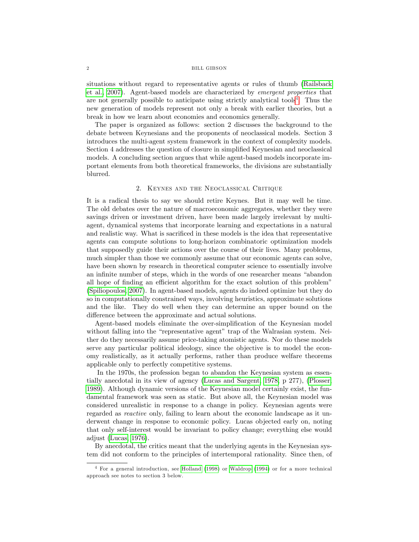#### 2 B ILL G IBSON

situations without regard to representative agents or rules of thumb [\(Railsback](#page-14-4) [et al., 2007\)](#page-14-4). Agent-based models are characterized by emergent properties that are not generally possible to anticipate using strictly analytical tools<sup>[4](#page-3-0)</sup>. Thus the new generation of models represent not only a break with earlier theories, but a break in how we learn about economies and economics generally.

The paper is organized as follows: section 2 discusses the background to the debate between Keynesians and the proponents of neoclassical models. Section 3 introduces the multi-agent system framework in the context of complexity models. Section 4 addresses the question of closure in simplified Keynesian and neoclassical models. A concluding section argues that while agent-based models incorporate important elements from both theoretical frameworks, the divisions are substantially blurred.

#### 2. Keynes and the Neoclassical Critique

It is a radical thesis to say we should retire Keynes. But it may well be time. The old debates over the nature of macroeconomic aggregates, whether they were savings driven or investment driven, have been made largely irrelevant by multiagent, dynamical systems that incorporate learning and expectations in a natural and realistic way. What is sacrificed in these models is the idea that representative agents can compute solutions to long-horizon combinatoric optimization models that supposedly guide their actions over the course of their lives. Many problems, much simpler than those we commonly assume that our economic agents can solve, have been shown by research in theoretical computer science to essentially involve an infinite number of steps, which in the words of one researcher means "abandon" all hope of finding an efficient algorithm for the exact solution of this problem" [\(Spiliopoulos, 2007\)](#page-15-4). In agent-based models, agents do indeed optimize but they do so in computationally constrained ways, involving heuristics, approximate solutions and the like. They do well when they can determine an upper bound on the difference between the approximate and actual solutions.

Agent-based models eliminate the over-simplification of the Keynesian model without falling into the "representative agent" trap of the Walrasian system. Neither do they necessarily assume price-taking atomistic agents. Nor do these models serve any particular political ideology, since the objective is to model the economy realistically, as it actually performs, rather than produce welfare theorems applicable only to perfectly competitive systems.

In the 1970s, the profession began to abandon the Keynesian system as essentially anecdotal in its view of agency [\(Lucas and Sargent, 1978,](#page-14-5) p 277), [\(Plosser,](#page-14-6) [1989\)](#page-14-6). Although dynamic versions of the Keynesian model certainly exist, the fundamental framework was seen as static. But above all, the Keynesian model was considered unrealistic in response to a change in policy. Keynesian agents were regarded as reactive only, failing to learn about the economic landscape as it underwent change in response to economic policy. Lucas objected early on, noting that only self-interest would be invariant to policy change; everything else would adjust [\(Lucas, 1976\)](#page-14-7).

By anecdotal, the critics meant that the underlying agents in the Keynesian system did not conform to the principles of intertemporal rationality. Since then, of

<span id="page-3-0"></span><sup>4</sup> For a general introduction, see [Holland](#page-14-8) [\(1998\)](#page-14-8) or [Waldrop](#page-15-5) [\(1994\)](#page-15-5) or for a more technical approach see notes to section 3 below.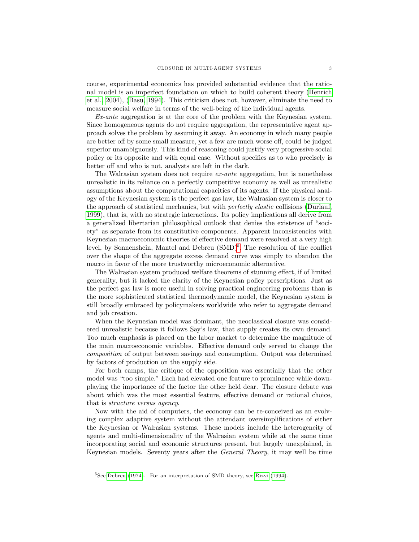course, experimental economics has provided substantial evidence that the rational model is an imperfect foundation on which to build coherent theory [\(Henrich](#page-14-9) [et al., 2004\)](#page-14-9), [\(Basu, 1994\)](#page-14-10). This criticism does not, however, eliminate the need to measure social welfare in terms of the well-being of the individual agents.

Ex-ante aggregation is at the core of the problem with the Keynesian system. Since homogeneous agents do not require aggregation, the representative agent approach solves the problem by assuming it away. An economy in which many people are better off by some small measure, yet a few are much worse off, could be judged superior unambiguously. This kind of reasoning could justify very progressive social policy or its opposite and with equal ease. Without specifics as to who precisely is better off and who is not, analysts are left in the dark.

The Walrasian system does not require ex-ante aggregation, but is nonetheless unrealistic in its reliance on a perfectly competitive economy as well as unrealistic assumptions about the computational capacities of its agents. If the physical analogy of the Keynesian system is the perfect gas law, the Walrasian system is closer to the approach of statistical mechanics, but with perfectly elastic collisions [\(Durlauf,](#page-14-0) [1999\)](#page-14-0), that is, with no strategic interactions. Its policy implications all derive from a generalized libertarian philosophical outlook that denies the existence of "soci-etyî as separate from its constitutive components. Apparent inconsistencies with Keynesian macroeconomic theories of effective demand were resolved at a very high level, by Sonnenshein, Mantel and Debreu  $(SMD)^5$  $(SMD)^5$ . The resolution of the conflict over the shape of the aggregate excess demand curve was simply to abandon the macro in favor of the more trustworthy microeconomic alternative.

The Walrasian system produced welfare theorems of stunning effect, if of limited generality, but it lacked the clarity of the Keynesian policy prescriptions. Just as the perfect gas law is more useful in solving practical engineering problems than is the more sophisticated statistical thermodynamic model, the Keynesian system is still broadly embraced by policymakers worldwide who refer to aggregate demand and job creation.

When the Keynesian model was dominant, the neoclassical closure was considered unrealistic because it follows Say's law, that supply creates its own demand. Too much emphasis is placed on the labor market to determine the magnitude of the main macroeconomic variables. Effective demand only served to change the composition of output between savings and consumption. Output was determined by factors of production on the supply side.

For both camps, the critique of the opposition was essentially that the other model was "too simple." Each had elevated one feature to prominence while downplaying the importance of the factor the other held dear. The closure debate was about which was the most essential feature, effective demand or rational choice, that is structure versus agency.

Now with the aid of computers, the economy can be re-conceived as an evolving complex adaptive system without the attendant oversimplifications of either the Keynesian or Walrasian systems. These models include the heterogeneity of agents and multi-dimensionality of the Walrasian system while at the same time incorporating social and economic structures present, but largely unexplained, in Keynesian models. Seventy years after the General Theory, it may well be time

<span id="page-4-0"></span> $5$ See [Debreu](#page-14-11) [\(1974\)](#page-14-11). For an interpretation of SMD theory, see [Rizvi](#page-15-6) [\(1994\)](#page-15-6).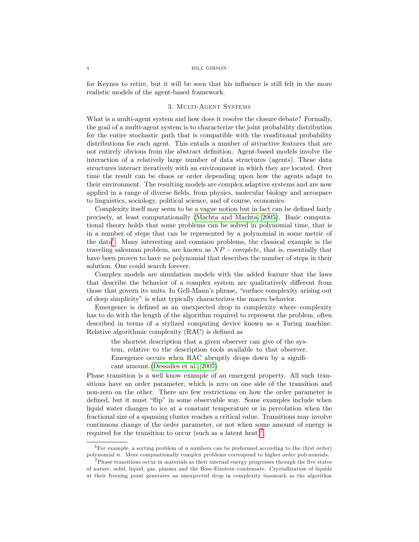#### 4 B ILL G IBSON

for Keynes to retire, but it will be seen that his influence is still felt in the more realistic models of the agent-based framework.

#### 3. Multi-Agent Systems

What is a multi-agent system and how does it resolve the closure debate? Formally, the goal of a multi-agent system is to characterize the joint probability distribution for the entire stochastic path that is compatible with the conditional probability distributions for each agent. This entails a number of attractive features that are not entirely obvious from the abstract definition. Agent-based models involve the interaction of a relatively large number of data structures (agents). These data structures interact iteratively with an environment in which they are located. Over time the result can be chaos or order depending upon how the agents adapt to their environment. The resulting models are complex adaptive systems and are now applied in a range of diverse fields, from physics, molecular biology and aerospace to linguistics, sociology, political science, and of course, economics.

Complexity itself may seem to be a vague notion but in fact can be defined fairly precisely, at least computationally [\(Machta and Machta, 2005\)](#page-14-12). Basic computational theory holds that some problems can be solved in polynomial time, that is in a number of steps that can be represented by a polynomial in some metric of the data<sup>[6](#page-5-0)</sup>. Many interesting and common problems, the classical example is the traveling salesman problem, are known as  $NP-complete$ , that is, essentially that have been proven to have no polynomial that describes the number of steps in their solution. One could search forever.

Complex models are simulation models with the added feature that the laws that describe the behavior of a complex system are qualitatively different from those that govern its units. In Gell-Mann's phrase, "surface complexity arising out of deep simplicity" is what typically characterizes the macro behavior.

Emergence is defined as an unexpected drop in complexity where complexity has to do with the length of the algorithm required to represent the problem, often described in terms of a stylized computing device known as a Turing machine. Relative algorithmic complexity (RAC) is defined as

the shortest description that a given observer can give of the system, relative to the description tools available to that observer. Emergence occurs when RAC abruptly drops down by a significant amount.[\(Dessalles et al., 2007\)](#page-14-13)

Phase transition is a well know example of an emergent property. All such transitions have an order parameter, which is zero on one side of the transition and non-zero on the other. There are few restrictions on how the order parameter is defined, but it must "flip" in some observable way. Some examples include when liquid water changes to ice at a constant temperature or in percolation when the fractional size of a spanning cluster reaches a critical value. Transitions may involve continuous change of the order parameter, or not when some amount of energy is required for the transition to occur (such as a latent heat)<sup>[7](#page-5-1)</sup>.

<span id="page-5-0"></span> ${}^{6}$ For example, a sorting problem of n numbers can be preformed according to the (first order) polynomial n: More compuationally complex problems correspond to higher order polynomials.

<span id="page-5-1"></span> $7$ Phase transitions occur in materials as their internal energy progresses through the five states of nature, solid, liquid, gas, plasma and the Bose-Einstein condensate. Crystallization of liquids at their freezing point generates an unexpected drop in complexity inasmuch as the algorithm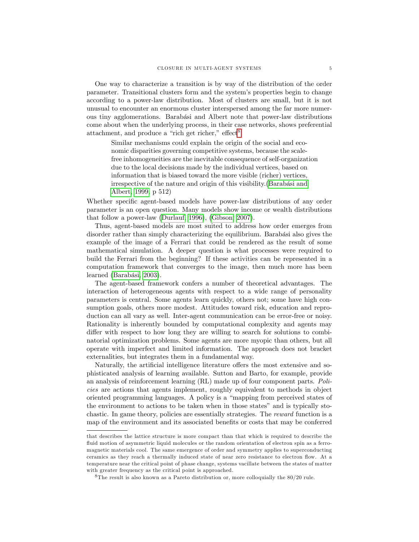One way to characterize a transition is by way of the distribution of the order parameter. Transitional clusters form and the systemís properties begin to change according to a power-law distribution. Most of clusters are small, but it is not unusual to encounter an enormous cluster interspersed among the far more numerous tiny agglomerations. Barabási and Albert note that power-law distributions come about when the underlying process, in their case networks, shows preferential attachment, and produce a "rich get richer," effect<sup>[8](#page-6-0)</sup>

Similar mechanisms could explain the origin of the social and economic disparities governing competitive systems, because the scalefree inhomogeneities are the inevitable consequence of self-organization due to the local decisions made by the individual vertices, based on information that is biased toward the more visible (richer) vertices, irrespective of the nature and origin of this visibility.(Barabási and [Albert, 1999,](#page-14-14) p 512)

Whether specific agent-based models have power-law distributions of any order parameter is an open question. Many models show income or wealth distributions that follow a power-law [\(Durlauf, 1996\)](#page-14-15), [\(Gibson, 2007\)](#page-14-16).

Thus, agent-based models are most suited to address how order emerges from disorder rather than simply characterizing the equilibrium. Barabási also gives the example of the image of a Ferrari that could be rendered as the result of some mathematical simulation. A deeper question is what processes were required to build the Ferrari from the beginning? If these activities can be represented in a computation framework that converges to the image, then much more has been learned (Barabási, 2003).

The agent-based framework confers a number of theoretical advantages. The interaction of heterogeneous agents with respect to a wide range of personality parameters is central. Some agents learn quickly, others not; some have high consumption goals, others more modest. Attitudes toward risk, education and reproduction can all vary as well. Inter-agent communication can be error-free or noisy. Rationality is inherently bounded by computational complexity and agents may differ with respect to how long they are willing to search for solutions to combinatorial optimization problems. Some agents are more myopic than others, but all operate with imperfect and limited information. The approach does not bracket externalities, but integrates them in a fundamental way.

Naturally, the artificial intelligence literature offers the most extensive and sophisticated analysis of learning available. Sutton and Barto, for example, provide an analysis of reinforcement learning (RL) made up of four component parts. Policies are actions that agents implement, roughly equivalent to methods in object oriented programming languages. A policy is a "mapping from perceived states of the environment to actions to be taken when in those states" and is typically stochastic. In game theory, policies are essentially strategies. The reward function is a map of the environment and its associated benefits or costs that may be conferred

that describes the lattice structure is more compact than that which is required to describe the fluid motion of asymmetric liquid molecules or the random orientation of electron spin as a ferromagnetic materials cool. The same emergence of order and symmetry applies to superconducting ceramics as they reach a thermally induced state of near zero resistance to electron flow. At a temperature near the critical point of phase change, systems vacillate between the states of matter with greater frequency as the critical point is approached.

<span id="page-6-0"></span> ${}^{8}$ The result is also known as a Pareto distribution or, more colloquially the 80/20 rule.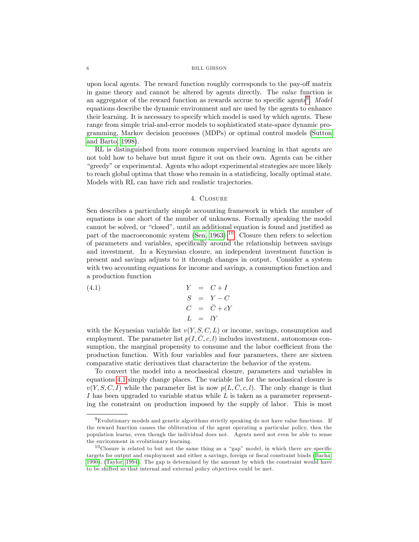#### 6 BILL GIBSON

upon local agents. The reward function roughly corresponds to the pay-off matrix in game theory and cannot be altered by agents directly. The value function is an aggregator of the reward function as rewards accrue to specific agents<sup>[9](#page-7-0)</sup>. Model equations describe the dynamic environment and are used by the agents to enhance their learning. It is necessary to specify which model is used by which agents. These range from simple trial-and-error models to sophisticated state-space dynamic programming, Markov decision processes (MDPs) or optimal control models [\(Sutton](#page-15-7) [and Barto, 1998\)](#page-15-7).

RL is distinguished from more common supervised learning in that agents are not told how to behave but must Ögure it out on their own. Agents can be either ìgreedyîor experimental. Agents who adopt experimental strategies are more likely to reach global optima that those who remain in a statisficing, locally optimal state. Models with RL can have rich and realistic trajectories.

#### <span id="page-7-2"></span>4. Closure

Sen describes a particularly simple accounting framework in which the number of equations is one short of the number of unknowns. Formally speaking the model cannot be solved, or "closed", until an additional equation is found and justified as part of the macroeconomic system [\(Sen, 1963\)](#page-15-0)  $^{10}$  $^{10}$  $^{10}$ . Closure then refers to selection of parameters and variables, speciÖcally around the relationship between savings and investment. In a Keynesian closure, an independent investment function is present and savings adjusts to it through changes in output. Consider a system with two accounting equations for income and savings, a consumption function and a production function

(4.1)  
\n
$$
\begin{array}{rcl}\nY & = & C + I \\
S & = & Y - C \\
C & = & \bar{C} + cY \\
L & = & lY\n\end{array}
$$

with the Keynesian variable list  $v(Y, S, C, L)$  or income, savings, consumption and employment. The parameter list  $p(I, \overline{C}, c, l)$  includes investment, autonomous consumption, the marginal propensity to consume and the labor coefficient from the production function. With four variables and four parameters, there are sixteen comparative static derivatives that characterize the behavior of the system.

To convert the model into a neoclassical closure, parameters and variables in equations [4.1](#page-7-2) simply change places. The variable list for the neoclassical closure is  $v(Y, S, C, I)$  while the parameter list is now  $p(L, C, c, l)$ . The only change is that I has been upgraded to variable status while  $L$  is taken as a parameter representing the constraint on production imposed by the supply of labor. This is most

<span id="page-7-0"></span> $9E$ volutionary models and genetic algorithms strictly speaking do not have value functions. If the reward function causes the obliteration of the agent operating a particular policy, then the population learns, even though the individual does not. Agents need not even be able to sense the environment in evolutionary learning.

<span id="page-7-1"></span> $10$ Closure is related to but not the same thing as a "gap" model, in which there are specific targets for output and employment and either a savings, foreign or fiscal constraint binds [\(Bacha,](#page-13-2) [1990\)](#page-13-2), [\(Taylor, 1994\)](#page-15-8). The gap is determined by the amount by which the constraint would have to be shifted so that internal and external policy ob jectives could be met.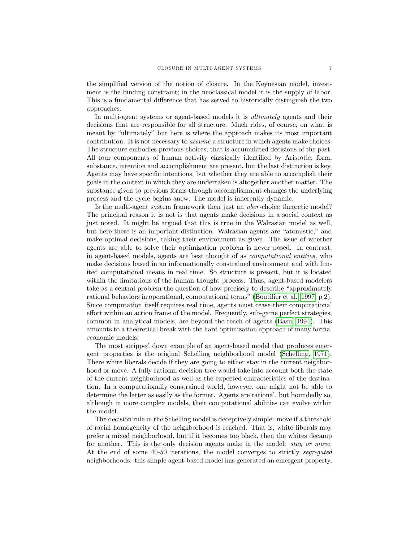the simplified version of the notion of closure. In the Keynesian model, investment is the binding constraint; in the neoclassical model it is the supply of labor. This is a fundamental difference that has served to historically distinguish the two approaches.

In multi-agent systems or agent-based models it is ultimately agents and their decisions that are responsible for all structure. Much rides, of course, on what is meant by "ultimately" but here is where the approach makes its most important contribution. It is not necessary to assume a structure in which agents make choices. The structure embodies previous choices, that is accumulated decisions of the past. All four components of human activity classically identified by Aristotle, form, substance, intention and accomplishment are present, but the last distinction is key. Agents may have specific intentions, but whether they are able to accomplish their goals in the context in which they are undertaken is altogether another matter. The substance given to previous forms through accomplishment changes the underlying process and the cycle begins anew. The model is inherently dynamic.

Is the multi-agent system framework then just an uber -choice theoretic model? The principal reason it is not is that agents make decisions in a social context as just noted. It might be argued that this is true in the Walrasian model as well, but here there is an important distinction. Walrasian agents are "atomistic," and make optimal decisions, taking their environment as given. The issue of whether agents are able to solve their optimization problem is never posed. In contrast, in agent-based models, agents are best thought of as computational entities, who make decisions based in an informationally constrained environment and with limited computational means in real time. So structure is present, but it is located within the limitations of the human thought process. Thus, agent-based modelers take as a central problem the question of how precisely to describe "approximately" rational behaviors in operational, computational terms" [\(Boutilier et al., 1997,](#page-14-18) p 2). Since computation itself requires real time, agents must cease their computational effort within an action frame of the model. Frequently, sub-game perfect strategies, common in analytical models, are beyond the reach of agents [\(Basu, 1994\)](#page-14-10). This amounts to a theoretical break with the hard optimization approach of many formal economic models.

The most stripped down example of an agent-based model that produces emergent properties is the original Schelling neighborhood model [\(Schelling, 1971\)](#page-15-9). There white liberals decide if they are going to either stay in the current neighborhood or move. A fully rational decision tree would take into account both the state of the current neighborhood as well as the expected characteristics of the destination. In a computationally constrained world, however, one might not be able to determine the latter as easily as the former. Agents are rational, but boundedly so, although in more complex models, their computational abilities can evolve within the model.

The decision rule in the Schelling model is deceptively simple: move if a threshold of racial homogeneity of the neighborhood is reached. That is, white liberals may prefer a mixed neighborhood, but if it becomes too black, then the whites decamp for another. This is the only decision agents make in the model: *stay or move*. At the end of some 40-50 iterations, the model converges to strictly segregated neighborhoods: this simple agent-based model has generated an emergent property,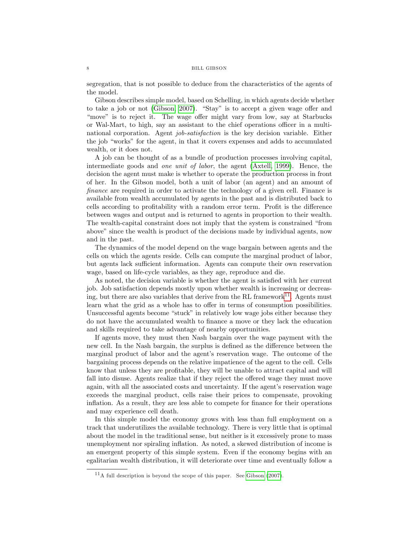segregation, that is not possible to deduce from the characteristics of the agents of the model.

Gibson describes simple model, based on Schelling, in which agents decide whether to take a job or not [\(Gibson, 2007\)](#page-14-16). "Stay" is to accept a given wage offer and "move" is to reject it. The wage offer might vary from low, say at Starbucks or Wal-Mart, to high, say an assistant to the chief operations officer in a multinational corporation. Agent job-satisfaction is the key decision variable. Either the job "works" for the agent, in that it covers expenses and adds to accumulated wealth, or it does not.

A job can be thought of as a bundle of production processes involving capital, intermediate goods and one unit of labor, the agent [\(Axtell, 1999\)](#page-13-3). Hence, the decision the agent must make is whether to operate the production process in front of her. In the Gibson model, both a unit of labor (an agent) and an amount of finance are required in order to activate the technology of a given cell. Finance is available from wealth accumulated by agents in the past and is distributed back to cells according to profitability with a random error term. Profit is the difference between wages and output and is returned to agents in proportion to their wealth. The wealth-capital constraint does not imply that the system is constrained "from above" since the wealth is product of the decisions made by individual agents, now and in the past.

The dynamics of the model depend on the wage bargain between agents and the cells on which the agents reside. Cells can compute the marginal product of labor, but agents lack sufficient information. Agents can compute their own reservation wage, based on life-cycle variables, as they age, reproduce and die.

As noted, the decision variable is whether the agent is satisfied with her current job. Job satisfaction depends mostly upon whether wealth is increasing or decreas-ing, but there are also variables that derive from the RL framework<sup>[11](#page-9-0)</sup>. Agents must learn what the grid as a whole has to offer in terms of consumption possibilities. Unsuccessful agents become "stuck" in relatively low wage jobs either because they do not have the accumulated wealth to Önance a move or they lack the education and skills required to take advantage of nearby opportunities.

If agents move, they must then Nash bargain over the wage payment with the new cell. In the Nash bargain, the surplus is defined as the difference between the marginal product of labor and the agent's reservation wage. The outcome of the bargaining process depends on the relative impatience of the agent to the cell. Cells know that unless they are profitable, they will be unable to attract capital and will fall into disuse. Agents realize that if they reject the offered wage they must move again, with all the associated costs and uncertainty. If the agent's reservation wage exceeds the marginal product, cells raise their prices to compensate, provoking inflation. As a result, they are less able to compete for finance for their operations and may experience cell death.

In this simple model the economy grows with less than full employment on a track that underutilizes the available technology. There is very little that is optimal about the model in the traditional sense, but neither is it excessively prone to mass unemployment nor spiraling ináation. As noted, a skewed distribution of income is an emergent property of this simple system. Even if the economy begins with an egalitarian wealth distribution, it will deteriorate over time and eventually follow a

<span id="page-9-0"></span> $11_A$  full description is beyond the scope of this paper. See [Gibson](#page-14-16) [\(2007\)](#page-14-16).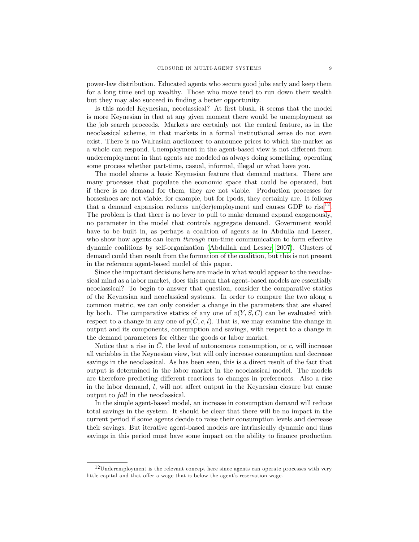power-law distribution. Educated agents who secure good jobs early and keep them for a long time end up wealthy. Those who move tend to run down their wealth but they may also succeed in finding a better opportunity.

Is this model Keynesian, neoclassical? At first blush, it seems that the model is more Keynesian in that at any given moment there would be unemployment as the job search proceeds. Markets are certainly not the central feature, as in the neoclassical scheme, in that markets in a formal institutional sense do not even exist. There is no Walrasian auctioneer to announce prices to which the market as a whole can respond. Unemployment in the agent-based view is not different from underemployment in that agents are modeled as always doing something, operating some process whether part-time, casual, informal, illegal or what have you.

The model shares a basic Keynesian feature that demand matters. There are many processes that populate the economic space that could be operated, but if there is no demand for them, they are not viable. Production processes for horseshoes are not viable, for example, but for Ipods, they certainly are. It follows that a demand expansion reduces un(der)employment and causes GDP to rise<sup>[12](#page-10-0)</sup>. The problem is that there is no lever to pull to make demand expand exogenously, no parameter in the model that controls aggregate demand. Government would have to be built in, as perhaps a coalition of agents as in Abdulla and Lesser, who show how agents can learn *through* run-time communication to form effective dynamic coalitions by self-organization [\(Abdallah and Lesser, 2007\)](#page-13-4). Clusters of demand could then result from the formation of the coalition, but this is not present in the reference agent-based model of this paper.

Since the important decisions here are made in what would appear to the neoclassical mind as a labor market, does this mean that agent-based models are essentially neoclassical? To begin to answer that question, consider the comparative statics of the Keynesian and neoclassical systems. In order to compare the two along a common metric, we can only consider a change in the parameters that are shared by both. The comparative statics of any one of  $v(Y, S, C)$  can be evaluated with respect to a change in any one of  $p(C, c, l)$ . That is, we may examine the change in output and its components, consumption and savings, with respect to a change in the demand parameters for either the goods or labor market.

Notice that a rise in  $\overline{C}$ , the level of autonomous consumption, or  $c$ , will increase all variables in the Keynesian view, but will only increase consumption and decrease savings in the neoclassical. As has been seen, this is a direct result of the fact that output is determined in the labor market in the neoclassical model. The models are therefore predicting different reactions to changes in preferences. Also a rise in the labor demand,  $l$ , will not affect output in the Keynesian closure but cause output to fall in the neoclassical.

In the simple agent-based model, an increase in consumption demand will reduce total savings in the system. It should be clear that there will be no impact in the current period if some agents decide to raise their consumption levels and decrease their savings. But iterative agent-based models are intrinsically dynamic and thus savings in this period must have some impact on the ability to finance production

<span id="page-10-0"></span> $12$ Underemployment is the relevant concept here since agents can operate processes with very little capital and that offer a wage that is below the agent's reservation wage.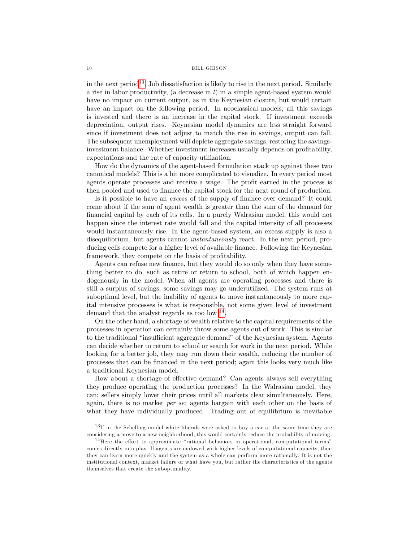#### 10 BILL GIBSON

in the next period<sup>[13](#page-11-0)</sup>. Job dissatisfaction is likely to rise in the next period. Similarly a rise in labor productivity, (a decrease in  $l$ ) in a simple agent-based system would have no impact on current output, as in the Keynesian closure, but would certain have an impact on the following period. In neoclassical models, all this savings is invested and there is an increase in the capital stock. If investment exceeds depreciation, output rises. Keynesian model dynamics are less straight forward since if investment does not adjust to match the rise in savings, output can fall. The subsequent unemployment will deplete aggregate savings, restoring the savingsinvestment balance. Whether investment increases usually depends on profitability, expectations and the rate of capacity utilization.

How do the dynamics of the agent-based formulation stack up against these two canonical models? This is a bit more complicated to visualize. In every period most agents operate processes and receive a wage. The profit earned in the process is then pooled and used to finance the capital stock for the next round of production.

Is it possible to have an *excess* of the supply of finance over demand? It could come about if the sum of agent wealth is greater than the sum of the demand for Önancial capital by each of its cells. In a purely Walrasian model, this would not happen since the interest rate would fall and the capital intensity of all processes would instantaneously rise. In the agent-based system, an excess supply is also a disequilibrium, but agents cannot *instantaneously* react. In the next period, producing cells compete for a higher level of available finance. Following the Keynesian framework, they compete on the basis of profitability.

Agents can refuse new finance, but they would do so only when they have something better to do, such as retire or return to school, both of which happen endogenously in the model. When all agents are operating processes and there is still a surplus of savings, some savings may go underutilized. The system runs at suboptimal level, but the inability of agents to move instantaneously to more capital intensive processes is what is responsible, not some given level of investment demand that the analyst regards as too low  $^{14}$  $^{14}$  $^{14}$ .

On the other hand, a shortage of wealth relative to the capital requirements of the processes in operation can certainly throw some agents out of work. This is similar to the traditional "insufficient aggregate demand" of the Keynesian system. Agents can decide whether to return to school or search for work in the next period. While looking for a better job, they may run down their wealth, reducing the number of processes that can be Önanced in the next period; again this looks very much like a traditional Keynesian model.

How about a shortage of effective demand? Can agents always sell everything they produce operating the production processes? In the Walrasian model, they can; sellers simply lower their prices until all markets clear simultaneously. Here, again, there is no market per se; agents bargain with each other on the basis of what they have individually produced. Trading out of equilibrium is inevitable

<span id="page-11-0"></span><sup>&</sup>lt;sup>13</sup>If in the Schelling model white liberals were asked to buy a car at the same time they are considering a move to a new neighborhood, this would certainly reduce the probability of moving.

<span id="page-11-1"></span> $14$ Here the effort to approximate "rational behaviors in operational, computational terms" comes directly into play. If agents are endowed with higher levels of computational capacity, then they can learn more quickly and the system as a whole can perform more rationally. It is not the institutional context, market failure or what have you, but rather the characteristics of the agents themselves that create the suboptimality.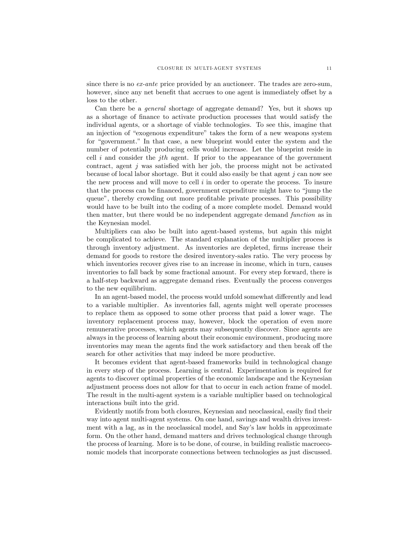since there is no ex-ante price provided by an auctioneer. The trades are zero-sum, however, since any net benefit that accrues to one agent is immediately offset by a loss to the other.

Can there be a general shortage of aggregate demand? Yes, but it shows up as a shortage of Önance to activate production processes that would satisfy the individual agents, or a shortage of viable technologies. To see this, imagine that an injection of "exogenous expenditure" takes the form of a new weapons system for "government." In that case, a new blueprint would enter the system and the number of potentially producing cells would increase. Let the blueprint reside in cell  $i$  and consider the jth agent. If prior to the appearance of the government contract, agent  $j$  was satisfied with her job, the process might not be activated because of local labor shortage. But it could also easily be that agent  $j$  can now see the new process and will move to cell  $i$  in order to operate the process. To insure that the process can be financed, government expenditure might have to "jump the queue", thereby crowding out more profitable private processes. This possibility would have to be built into the coding of a more complete model. Demand would then matter, but there would be no independent aggregate demand function as in the Keynesian model.

Multipliers can also be built into agent-based systems, but again this might be complicated to achieve. The standard explanation of the multiplier process is through inventory adjustment. As inventories are depleted, firms increase their demand for goods to restore the desired inventory-sales ratio. The very process by which inventories recover gives rise to an increase in income, which in turn, causes inventories to fall back by some fractional amount. For every step forward, there is a half-step backward as aggregate demand rises. Eventually the process converges to the new equilibrium.

In an agent-based model, the process would unfold somewhat differently and lead to a variable multiplier. As inventories fall, agents might well operate processes to replace them as opposed to some other process that paid a lower wage. The inventory replacement process may, however, block the operation of even more remunerative processes, which agents may subsequently discover. Since agents are always in the process of learning about their economic environment, producing more inventories may mean the agents find the work satisfactory and then break off the search for other activities that may indeed be more productive.

It becomes evident that agent-based frameworks build in technological change in every step of the process. Learning is central. Experimentation is required for agents to discover optimal properties of the economic landscape and the Keynesian adjustment process does not allow for that to occur in each action frame of model. The result in the multi-agent system is a variable multiplier based on technological interactions built into the grid.

Evidently motifs from both closures, Keynesian and neoclassical, easily find their way into agent multi-agent systems. On one hand, savings and wealth drives investment with a lag, as in the neoclassical model, and Sayís law holds in approximate form. On the other hand, demand matters and drives technological change through the process of learning. More is to be done, of course, in building realistic macroeconomic models that incorporate connections between technologies as just discussed.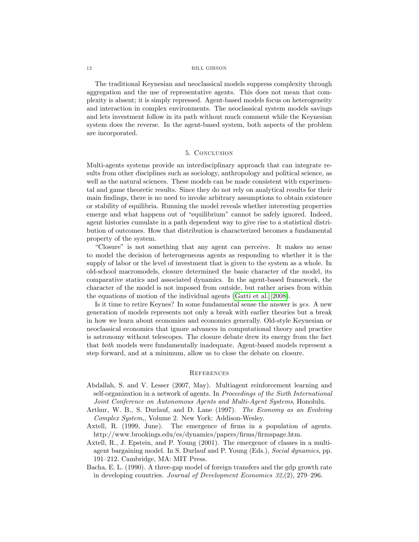#### 12 BILL GIBSON

The traditional Keynesian and neoclassical models suppress complexity through aggregation and the use of representative agents. This does not mean that complexity is absent; it is simply repressed. Agent-based models focus on heterogeneity and interaction in complex environments. The neoclassical system models savings and lets investment follow in its path without much comment while the Keynesian system does the reverse. In the agent-based system, both aspects of the problem are incorporated.

#### 5. Conclusion

Multi-agents systems provide an interdisciplinary approach that can integrate results from other disciplines such as sociology, anthropology and political science, as well as the natural sciences. These models can be made consistent with experimental and game theoretic results. Since they do not rely on analytical results for their main Öndings, there is no need to invoke arbitrary assumptions to obtain existence or stability of equilibria. Running the model reveals whether interesting properties emerge and what happens out of "equilibrium" cannot be safely ignored. Indeed, agent histories cumulate in a path dependent way to give rise to a statistical distribution of outcomes. How that distribution is characterized becomes a fundamental property of the system.

ìClosureî is not something that any agent can perceive. It makes no sense to model the decision of heterogeneous agents as responding to whether it is the supply of labor or the level of investment that is given to the system as a whole. In old-school macromodels, closure determined the basic character of the model, its comparative statics and associated dynamics. In the agent-based framework, the character of the model is not imposed from outside, but rather arises from within the equations of motion of the individual agents [\(Gatti et al., 2008\)](#page-14-19).

Is it time to retire Keynes? In some fundamental sense the answer is yes. A new generation of models represents not only a break with earlier theories but a break in how we learn about economies and economics generally. Old-style Keynesian or neoclassical economics that ignore advances in computational theory and practice is astronomy without telescopes. The closure debate drew its energy from the fact that both models were fundamentally inadequate. Agent-based models represent a step forward, and at a minimum, allow us to close the debate on closure.

#### **REFERENCES**

- <span id="page-13-4"></span>Abdallah, S. and V. Lesser (2007, May). Multiagent reinforcement learning and self-organization in a network of agents. In Proceedings of the Sixth International Joint Conference on Autonomous Agents and Multi-Agent Systems, Honolulu.
- <span id="page-13-0"></span>Arthur, W. B., S. Durlauf, and D. Lane (1997). The Economy as an Evolving Complex System,, Volume 2. New York: Addison-Wesley.
- <span id="page-13-3"></span>Axtell, R. (1999, June). The emergence of firms in a population of agents. http://www.brookings.edu/es/dynamics/papers/firms/firmspage.htm.
- <span id="page-13-1"></span>Axtell, R., J. Epstein, and P. Young (2001). The emergence of classes in a multiagent bargaining model. In S. Durlauf and P. Young (Eds.), Social dynamics, pp. 191–212. Cambridge, MA: MIT Press.
- <span id="page-13-2"></span>Bacha, E. L. (1990). A three-gap model of foreign transfers and the gdp growth rate in developing countries. Journal of Development Economics  $32(2)$ ,  $279-296$ .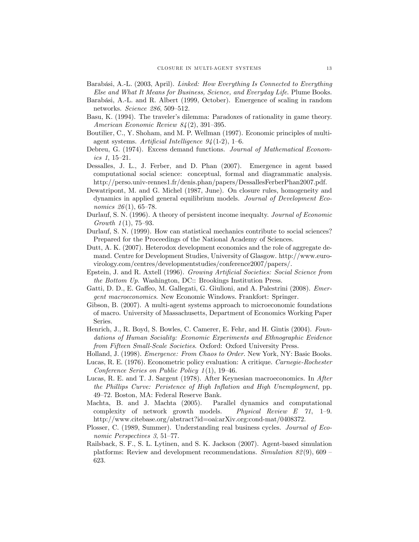- <span id="page-14-17"></span>Barabási, A.-L. (2003, April). Linked: How Everything Is Connected to Everything Else and What It Means for Business, Science, and Everyday Life. Plume Books.
- <span id="page-14-14"></span>Barabási, A.-L. and R. Albert (1999, October). Emergence of scaling in random networks. Science 286, 509-512.
- <span id="page-14-10"></span>Basu, K. (1994). The traveler's dilemma: Paradoxes of rationality in game theory. American Economic Review  $84(2)$ , 391–395.
- <span id="page-14-18"></span>Boutilier, C., Y. Shoham, and M. P. Wellman (1997). Economic principles of multiagent systems. Artificial Intelligence  $94(1-2)$ , 1-6.
- <span id="page-14-11"></span>Debreu, G. (1974). Excess demand functions. Journal of Mathematical Economics  $1, 15-21.$
- <span id="page-14-13"></span>Dessalles, J. L., J. Ferber, and D. Phan (2007). Emergence in agent based computational social science: conceptual, formal and diagrammatic analysis. http://perso.univ-rennes1.fr/denis.phan/papers/DessallesFerberPhan2007.pdf.
- <span id="page-14-1"></span>Dewatripont, M. and G. Michel (1987, June). On closure rules, homogeneity and dynamics in applied general equilibrium models. Journal of Development Economics  $26(1)$ , 65-78.
- <span id="page-14-15"></span>Durlauf, S. N. (1996). A theory of persistent income inequalty. Journal of Economic Growth  $1(1)$ , 75–93.
- <span id="page-14-0"></span>Durlauf, S. N. (1999). How can statistical mechanics contribute to social sciences? Prepared for the Proceedings of the National Academy of Sciences.
- <span id="page-14-2"></span>Dutt, A. K. (2007). Heterodox development economics and the role of aggregate demand. Centre for Development Studies, University of Glasgow. http://www.eurovirology.com/centres/developmentstudies/conference2007/papers/.
- <span id="page-14-3"></span>Epstein, J. and R. Axtell (1996). Growing Artificial Societies: Social Science from the Bottom Up. Washington, DC:: Brookings Institution Press.
- <span id="page-14-19"></span>Gatti, D. D., E. Gaffeo, M. Gallegati, G. Giulioni, and A. Palestrini (2008). *Emer*gent macroeconomics. New Economic Windows. Frankfort: Springer.
- <span id="page-14-16"></span>Gibson, B. (2007). A multi-agent systems approach to microeconomic foundations of macro. University of Massachusetts, Department of Economics Working Paper Series.
- <span id="page-14-9"></span>Henrich, J., R. Boyd, S. Bowles, C. Camerer, E. Fehr, and H. Gintis (2004). Foundations of Human Sociality: Economic Experiments and Ethnographic Evidence from Fifteen Small-Scale Societies. Oxford: Oxford University Press.
- <span id="page-14-8"></span>Holland, J. (1998). Emergence: From Chaos to Order. New York, NY: Basic Books.
- <span id="page-14-7"></span>Lucas, R. E. (1976). Econometric policy evaluation: A critique. Carnegie-Rochester Conference Series on Public Policy  $1(1)$ , 19-46.
- <span id="page-14-5"></span>Lucas, R. E. and T. J. Sargent (1978). After Keynesian macroeconomics. In After the Phillips Curve: Peristence of High Inflation and High Unemployment, pp. 49–72. Boston, MA: Federal Reserve Bank.
- <span id="page-14-12"></span>Machta, B. and J. Machta (2005). Parallel dynamics and computational complexity of network growth models. Physical Review  $E \quad 71, \quad 1-9.$ http://www.citebase.org/abstract?id=oai:arXiv.org:cond-mat/0408372.
- <span id="page-14-6"></span>Plosser, C. (1989, Summer). Understanding real business cycles. Journal of Economic Perspectives  $3, 51-77$ .
- <span id="page-14-4"></span>Railsback, S. F., S. L. Lytinen, and S. K. Jackson (2007). Agent-based simulation platforms: Review and development recommendations. Simulation  $82(9)$ , 609 – 623.